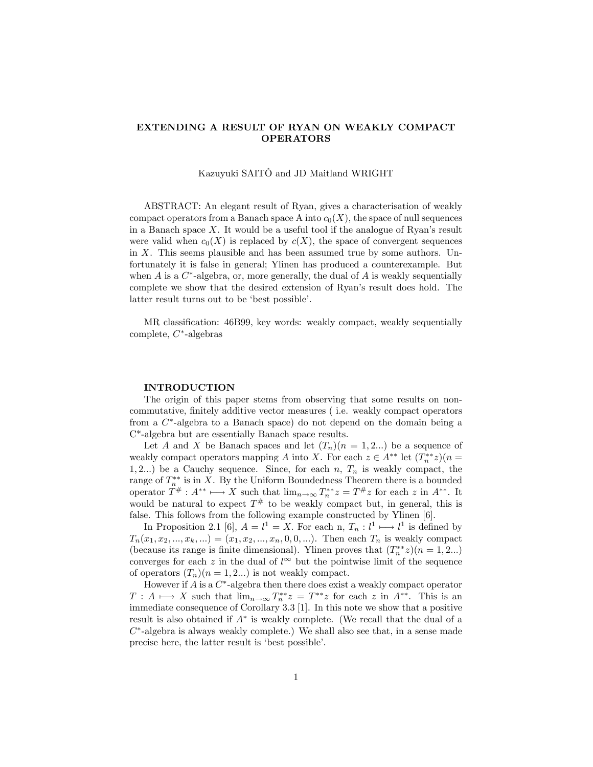# EXTENDING A RESULT OF RYAN ON WEAKLY COMPACT OPERATORS

## Kazuyuki SAITÔ and JD Maitland WRIGHT

ABSTRACT: An elegant result of Ryan, gives a characterisation of weakly compact operators from a Banach space A into  $c_0(X)$ , the space of null sequences in a Banach space  $X$ . It would be a useful tool if the analogue of Ryan's result were valid when  $c_0(X)$  is replaced by  $c(X)$ , the space of convergent sequences in X. This seems plausible and has been assumed true by some authors. Unfortunately it is false in general; Ylinen has produced a counterexample. But when  $A$  is a  $C^*$ -algebra, or, more generally, the dual of  $A$  is weakly sequentially complete we show that the desired extension of Ryan's result does hold. The latter result turns out to be 'best possible'.

MR classification: 46B99, key words: weakly compact, weakly sequentially complete,  $C^*$ -algebras

#### INTRODUCTION

The origin of this paper stems from observing that some results on noncommutative, finitely additive vector measures (i.e. weakly compact operators from a  $C^*$ -algebra to a Banach space) do not depend on the domain being a C\*-algebra but are essentially Banach space results.

Let A and X be Banach spaces and let  $(T_n)(n = 1, 2...)$  be a sequence of weakly compact operators mapping A into X. For each  $z \in A^{**}$  let  $(T^{**}_n z)(n =$ 1, 2...) be a Cauchy sequence. Since, for each n,  $T_n$  is weakly compact, the range of  $T_n^{**}$  is in X. By the Uniform Boundedness Theorem there is a bounded operator  $T^{\#}: A^{**} \longmapsto X$  such that  $\lim_{n\to\infty} T_n^{**} z = T^{\#} z$  for each z in  $A^{**}$ . It would be natural to expect  $T^{\#}$  to be weakly compact but, in general, this is false. This follows from the following example constructed by Ylinen [6].

In Proposition 2.1 [6],  $A = l^1 = X$ . For each n,  $T_n : l^1 \longrightarrow l^1$  is defined by  $T_n(x_1, x_2, ..., x_k, ...) = (x_1, x_2, ..., x_n, 0, 0, ...)$ . Then each  $T_n$  is weakly compact (because its range is finite dimensional). Ylinen proves that  $(T_n^{**}z)(n = 1, 2...)$ converges for each z in the dual of  $l^{\infty}$  but the pointwise limit of the sequence of operators  $(T_n)(n = 1, 2...)$  is not weakly compact.

However if  $A$  is a  $C^*$ -algebra then there does exist a weakly compact operator  $T: A \longmapsto X$  such that  $\lim_{n \to \infty} T_n^{**} z = T^{**} z$  for each z in  $A^{**}$ . This is an immediate consequence of Corollary 3.3 [1]. In this note we show that a positive result is also obtained if  $A^*$  is weakly complete. (We recall that the dual of a  $C^*$ -algebra is always weakly complete.) We shall also see that, in a sense made precise here, the latter result is 'best possible'.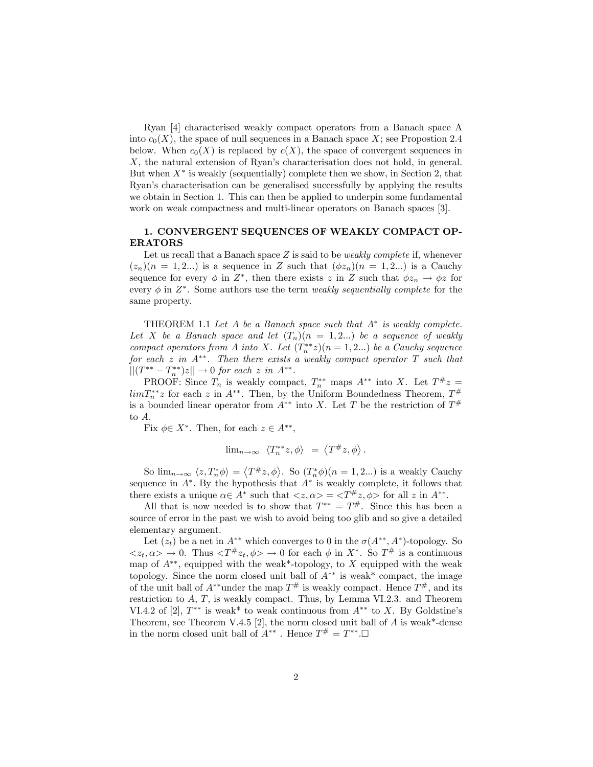Ryan [4] characterised weakly compact operators from a Banach space A into  $c_0(X)$ , the space of null sequences in a Banach space X; see Propostion 2.4 below. When  $c_0(X)$  is replaced by  $c(X)$ , the space of convergent sequences in X, the natural extension of Ryan's characterisation does not hold, in general. But when  $X^*$  is weakly (sequentially) complete then we show, in Section 2, that Ryanís characterisation can be generalised successfully by applying the results we obtain in Section 1. This can then be applied to underpin some fundamental work on weak compactness and multi-linear operators on Banach spaces [3].

## 1. CONVERGENT SEQUENCES OF WEAKLY COMPACT OP-ERATORS

Let us recall that a Banach space  $Z$  is said to be *weakly complete* if, whenever  $(z_n)(n = 1, 2...)$  is a sequence in Z such that  $(\phi z_n)(n = 1, 2...)$  is a Cauchy sequence for every  $\phi$  in  $Z^*$ , then there exists z in Z such that  $\phi z_n \to \phi z$  for every  $\phi$  in  $Z^*$ . Some authors use the term *weakly sequentially complete* for the same property.

THEOREM 1.1 Let  $A$  be a Banach space such that  $A^*$  is weakly complete. Let X be a Banach space and let  $(T_n)(n = 1, 2...)$  be a sequence of weakly compact operators from A into X. Let  $(T_n^{**}z)(n=1,2...)$  be a Cauchy sequence for each  $z$  in  $A^{**}$ . Then there exists a weakly compact operator  $T$  such that  $||(T^{**}-T^{**}_n)z|| \to 0 \text{ for each } z \text{ in } A^{**}.$ 

PROOF: Since  $T_n$  is weakly compact,  $T_n^{**}$  maps  $A^{**}$  into X. Let  $T^{\#}z =$  $\lim_{n \to \infty} T_n^{**}$  for each z in  $A^{**}$ . Then, by the Uniform Boundedness Theorem,  $T^{\#}$ is a bounded linear operator from  $A^{**}$  into X. Let T be the restriction of  $T^{\#}$ to A.

Fix  $\phi \in X^*$ . Then, for each  $z \in A^{**}$ ,

$$
\lim_{n\to\infty} \langle T_n^{**}z, \phi \rangle = \langle T^\#z, \phi \rangle.
$$

So  $\lim_{n\to\infty} \langle z, T_n^* \phi \rangle = \langle T^{\#} z, \phi \rangle$ . So  $(T_n^* \phi)(n = 1, 2...)$  is a weakly Cauchy sequence in  $A^*$ . By the hypothesis that  $A^*$  is weakly complete, it follows that there exists a unique  $\alpha \in A^*$  such that  $\langle z, \alpha \rangle = \langle T^{\#} z, \phi \rangle$  for all z in  $A^{**}$ .

All that is now needed is to show that  $T^{**} = T^{\#}$ . Since this has been a source of error in the past we wish to avoid being too glib and so give a detailed elementary argument.

Let  $(z_t)$  be a net in  $A^{**}$  which converges to 0 in the  $\sigma(A^{**}, A^*)$ -topology. So  $\langle z_t, \alpha \rangle \to 0$ . Thus  $\langle T^{\#} z_t, \phi \rangle \to 0$  for each  $\phi$  in  $X^*$ . So  $T^{\#}$  is a continuous map of  $A^{**}$ , equipped with the weak\*-topology, to X equipped with the weak topology. Since the norm closed unit ball of  $A^{**}$  is weak\* compact, the image of the unit ball of  $A^{**}$  under the map  $T^{\#}$  is weakly compact. Hence  $T^{\#}$ , and its restriction to A, T, is weakly compact. Thus, by Lemma VI.2.3. and Theorem VI.4.2 of [2],  $T^{**}$  is weak\* to weak continuous from  $A^{**}$  to X. By Goldstine's Theorem, see Theorem V.4.5 [2], the norm closed unit ball of  $A$  is weak\*-dense in the norm closed unit ball of  $A^{**}$ . Hence  $T^{\#} = T^{**}$ .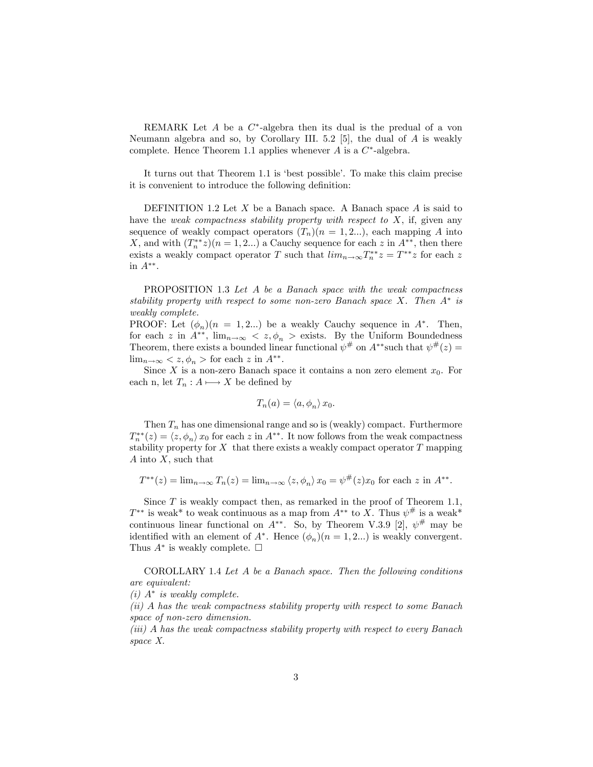REMARK Let  $A$  be a  $C^*$ -algebra then its dual is the predual of a von Neumann algebra and so, by Corollary III. 5.2 [5], the dual of  $A$  is weakly complete. Hence Theorem 1.1 applies whenever  $A$  is a  $C^*$ -algebra.

It turns out that Theorem 1.1 is 'best possible'. To make this claim precise it is convenient to introduce the following definition:

DEFINITION 1.2 Let  $X$  be a Banach space. A Banach space  $A$  is said to have the weak compactness stability property with respect to  $X$ , if, given any sequence of weakly compact operators  $(T_n)(n = 1, 2...)$ , each mapping A into X, and with  $(T_n^{**}z)(n=1,2...)$  a Cauchy sequence for each z in  $A^{**}$ , then there exists a weakly compact operator T such that  $\lim_{n\to\infty} T_n^{**} z = T^{**} z$  for each z in  $A^{**}$ .

PROPOSITION 1.3 Let A be a Banach space with the weak compactness stability property with respect to some non-zero Banach space  $X$ . Then  $A^*$  is weakly complete.

PROOF: Let  $(\phi_n)(n = 1, 2...)$  be a weakly Cauchy sequence in  $A^*$ . Then, for each z in  $A^{**}$ ,  $\lim_{n\to\infty}$  <  $z, \phi_n$  > exists. By the Uniform Boundedness Theorem, there exists a bounded linear functional  $\psi^{\#}$  on  $A^{**}$  such that  $\psi^{\#}(z)$  =  $\lim_{n\to\infty}$  < z,  $\phi_n$  > for each z in  $A^{**}$ .

Since X is a non-zero Banach space it contains a non zero element  $x_0$ . For each n, let  $T_n : A \longrightarrow X$  be defined by

$$
T_n(a) = \langle a, \phi_n \rangle x_0.
$$

Then  $T_n$  has one dimensional range and so is (weakly) compact. Furthermore  $T_n^{**}(z) = \langle z, \phi_n \rangle x_0$  for each z in  $A^{**}$ . It now follows from the weak compactness stability property for  $X$  that there exists a weakly compact operator  $T$  mapping A into X, such that

$$
T^{**}(z) = \lim_{n \to \infty} T_n(z) = \lim_{n \to \infty} \langle z, \phi_n \rangle x_0 = \psi^{\#}(z) x_0 \text{ for each } z \text{ in } A^{**}.
$$

Since  $T$  is weakly compact then, as remarked in the proof of Theorem 1.1,  $T^{**}$  is weak\* to weak continuous as a map from  $A^{**}$  to X. Thus  $\psi^{\#}$  is a weak\* continuous linear functional on  $A^{**}$ . So, by Theorem V.3.9 [2],  $\psi^{\#}$  may be identified with an element of  $A^*$ . Hence  $(\phi_n)(n = 1, 2...)$  is weakly convergent. Thus  $A^*$  is weakly complete.  $\square$ 

COROLLARY 1.4 Let A be a Banach space. Then the following conditions are equivalent:

 $(i)$   $A^*$  is weakly complete.

(ii) A has the weak compactness stability property with respect to some Banach space of non-zero dimension.

(iii) A has the weak compactness stability property with respect to every Banach space X.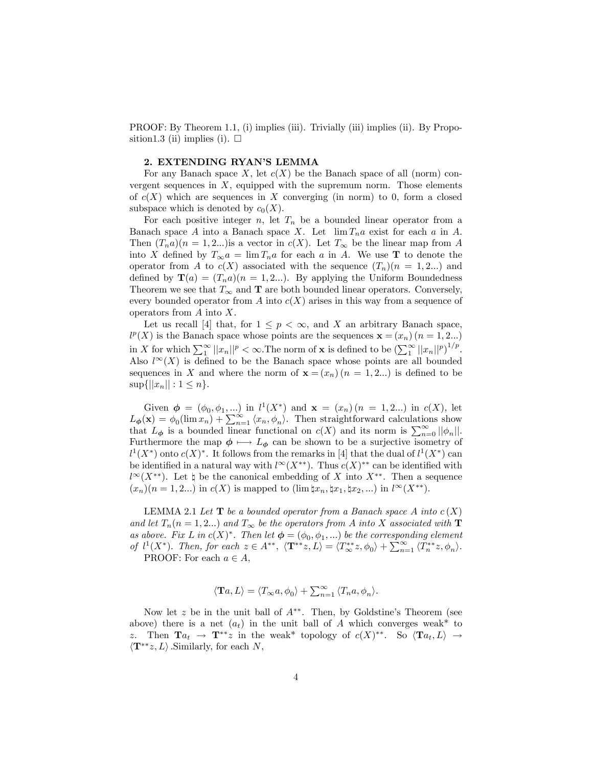PROOF: By Theorem 1.1, (i) implies (iii). Trivially (iii) implies (ii). By Proposition1.3 (ii) implies (i).  $\square$ 

#### 2. EXTENDING RYAN'S LEMMA

For any Banach space X, let  $c(X)$  be the Banach space of all (norm) convergent sequences in  $X$ , equipped with the supremum norm. Those elements of  $c(X)$  which are sequences in X converging (in norm) to 0, form a closed subspace which is denoted by  $c_0(X)$ .

For each positive integer n, let  $T_n$  be a bounded linear operator from a Banach space A into a Banach space X. Let  $\lim T_n a$  exist for each a in A. Then  $(T_n a)(n = 1, 2...)$  is a vector in  $c(X)$ . Let  $T_\infty$  be the linear map from A into X defined by  $T_{\infty} a = \lim T_n a$  for each a in A. We use **T** to denote the operator from A to  $c(X)$  associated with the sequence  $(T_n)(n = 1, 2...)$  and defined by  $\mathbf{T}(a) = (T_n a)(n = 1, 2...)$ . By applying the Uniform Boundedness Theorem we see that  $T_{\infty}$  and **T** are both bounded linear operators. Conversely, every bounded operator from A into  $c(X)$  arises in this way from a sequence of operators from A into X.

Let us recall [4] that, for  $1 \leq p < \infty$ , and X an arbitrary Banach space,  $l^p(X)$  is the Banach space whose points are the sequences  $\mathbf{x} = (x_n)$   $(n = 1, 2...)$ in X for which  $\sum_{1}^{\infty} ||x_n||^p < \infty$ . The norm of **x** is defined to be  $(\sum_{1}^{\infty} ||x_n||^p)^{1/p}$ . Also  $l^{\infty}(X)$  is defined to be the Banach space whose points are all bounded sequences in X and where the norm of  $\mathbf{x} = (x_n)(n = 1, 2...)$  is defined to be  $\sup\{||x_n|| : 1 \le n\}.$ 

Given  $\phi = (\phi_0, \phi_1, ...)$  in  $l^1(X^*)$  and  $\mathbf{x} = (x_n)(n = 1, 2...)$  in  $c(X)$ , let  $L_{\phi}(\mathbf{x}) = \phi_0(\lim x_n) + \sum_{n=1}^{\infty} \langle x_n, \phi_n \rangle$ . Then straightforward calculations show that  $L_{\phi}$  is a bounded linear functional on  $c(X)$  and its norm is  $\sum_{n=0}^{\infty} ||\phi_n||$ . Furthermore the map  $\phi \mapsto L_{\phi}$  can be shown to be a surjective isometry of  $l^1(X^*)$  onto  $c(X)^*$ . It follows from the remarks in [4] that the dual of  $l^1(X^*)$  can be identified in a natural way with  $l^{\infty}(X^{**})$ . Thus  $c(X)^{**}$  can be identified with  $l^{\infty}(X^{**})$ . Let  $\natural$  be the canonical embedding of X into  $X^{**}$ . Then a sequence  $(x_n)(n = 1, 2...)$  in  $c(X)$  is mapped to  $(\lim |x_n, \sharp x_1, \sharp x_2, ...)$  in  $l^{\infty}(X^{**})$ .

LEMMA 2.1 Let  $T$  be a bounded operator from a Banach space A into  $c(X)$ and let  $T_n(n = 1, 2...)$  and  $T_\infty$  be the operators from A into X associated with **T** as above. Fix L in  $c(X)^*$ . Then let  $\boldsymbol{\phi} = (\phi_0, \phi_1, ...)$  be the corresponding element of  $l^1(X^*)$ . Then, for each  $z \in A^{**}$ ,  $\langle \mathbf{T}^{**}z, L \rangle = \langle T^{**}_{\infty}z, \phi_0 \rangle + \sum_{n=1}^{\infty} \langle T^{**}_n z, \phi_n \rangle$ . PROOF: For each  $a \in A$ ,

$$
\langle \mathbf{T}a, L \rangle = \langle T_{\infty}a, \phi_0 \rangle + \sum_{n=1}^{\infty} \langle T_n a, \phi_n \rangle.
$$

Now let z be in the unit ball of  $A^{**}$ . Then, by Goldstine's Theorem (see above) there is a net  $(a_t)$  in the unit ball of A which converges weak\* to z. Then  $\mathbf{T}a_t \to \mathbf{T}^{**}z$  in the weak\* topology of  $c(X)^{**}$ . So  $\langle \mathbf{T}a_t, L \rangle \to$  $\langle \mathbf{T}^{**}z, L \rangle$ . Similarly, for each N,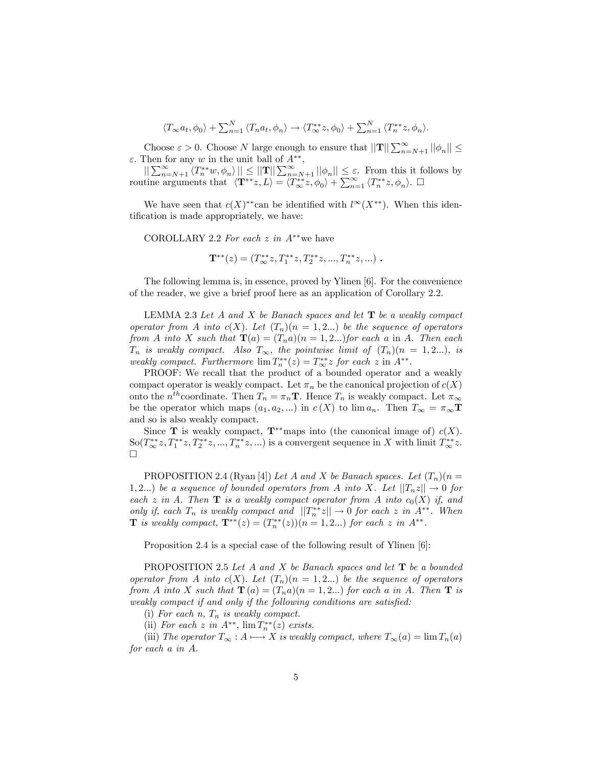$$
\langle T_{\infty}a_t, \phi_0 \rangle + \sum_{n=1}^N \langle T_n a_t, \phi_n \rangle \to \langle T_{\infty}^{**}z, \phi_0 \rangle + \sum_{n=1}^N \langle T_n^{**}z, \phi_n \rangle.
$$

Choose  $\varepsilon > 0$ . Choose N large enough to ensure that  $||\mathbf{T}|| \sum_{n=N+1}^{\infty} ||\phi_n|| \le$  $\varepsilon$ . Then for any w in the unit ball of  $A^{**}$ ,

 $\|\sum_{n=N+1}^{\infty} \langle T_n^{**}w, \phi_n \rangle \| \leq \|\mathbf{T}\| \sum_{n=N+1}^{\infty} |\phi_n| \leq \varepsilon$ . From this it follows by routine arguments that  $\langle \mathbf{T}^{**}z, L \rangle = \langle T^{**}_{\infty}z, \phi_0 \rangle + \sum_{n=1}^{\infty} \langle T^{**}_n z, \phi_n \rangle$ .

We have seen that  $c(X)^{**}$ can be identified with  $l^{\infty}(X^{**})$ . When this identification is made appropriately, we have:

COROLLARY 2.2 For each  $z$  in  $A^{**}$  we have

$$
\mathbf{T}^{**}(z) = (T^{**}_{\infty}z, T^{**}_1z, T^{**}_2z, ..., T^{**}_nz, ...)
$$

The following lemma is, in essence, proved by Ylinen [6]. For the convenience of the reader, we give a brief proof here as an application of Corollary 2.2.

LEMMA 2.3 Let  $A$  and  $X$  be Banach spaces and let  $T$  be a weakly compact operator from A into  $c(X)$ . Let  $(T_n)(n = 1, 2...)$  be the sequence of operators from A into X such that  $\mathbf{T}(a) = (T_n a)(n = 1, 2...)$  for each a in A. Then each  $T_n$  is weakly compact. Also  $T_\infty$ , the pointwise limit of  $(T_n)(n = 1, 2...),$  is weakly compact. Furthermore  $\lim T_n^{**}(z) = T_\infty^{**} z$  for each z in  $A^{**}$ .

PROOF: We recall that the product of a bounded operator and a weakly compact operator is weakly compact. Let  $\pi_n$  be the canonical projection of  $c(X)$ onto the  $n^{th}$ coordinate. Then  $T_n = \pi_n T$ . Hence  $T_n$  is weakly compact. Let  $\pi_{\infty}$ be the operator which maps  $(a_1, a_2, ...)$  in  $c(X)$  to lim  $a_n$ . Then  $T_{\infty} = \pi_{\infty} \mathbf{T}$ and so is also weakly compact.

Since **T** is weakly compact,  $T^{*}$  maps into (the canonical image of)  $c(X)$ .  $\text{So}(T^{**}_{\infty}z, T^{**}_1z, T^{**}_2z, ..., T^{**}_nz, ...)$  is a convergent sequence in X with limit  $T^{**}_{\infty}z$ .  $\Box$ 

PROPOSITION 2.4 (Ryan [4]) Let A and X be Banach spaces. Let  $(T_n)(n =$ 1,2...) be a sequence of bounded operators from A into X. Let  $||T_nz|| \to 0$  for each z in A. Then  $\mathbf T$  is a weakly compact operator from A into  $c_0(X)$  if, and only if, each  $T_n$  is weakly compact and  $||T_n^{**}z|| \to 0$  for each z in  $A^{**}$ . When **T** is weakly compact,  $\mathbf{T}^{**}(z) = (T_n^{**}(z))(n = 1, 2...)$  for each z in  $A^{**}$ .

Proposition 2.4 is a special case of the following result of Ylinen [6]:

PROPOSITION 2.5 Let A and X be Banach spaces and let  $\mathbf T$  be a bounded operator from A into  $c(X)$ . Let  $(T_n)(n = 1, 2...)$  be the sequence of operators from A into X such that  $\mathbf{T}(a) = (T_n a)(n = 1, 2...)$  for each a in A. Then  $\mathbf{T}$  is weakly compact if and only if the following conditions are satisfied:

(i) For each  $n$ ,  $T_n$  is weakly compact.

(ii) For each z in  $A^{**}$ ,  $\lim T_n^{**}(z)$  exists.

(iii) The operator  $T_{\infty} : A \longmapsto X$  is weakly compact, where  $T_{\infty}(a) = \lim T_n(a)$ for each a in A.